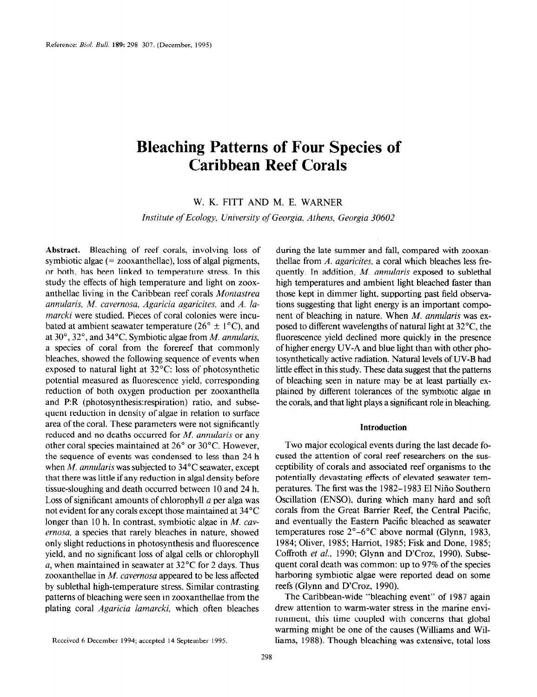# Bleaching Patterns of Four Species of Caribbean Reef Corals

W. K. FITT AND M. E. WARNER

Institute of Ecology, University qf Georgia, Athens, Georgia 30602

Abstract. Bleaching of reef corals, involving loss of symbiotic algae  $(= zooxanthellae)$ , loss of algal pigments, or both, has been linked to temperature stress. In this study the effects of high temperature and light on zooxanthellae living in the Caribbean reef corals Montastrea annularis, M. cavernosa, Agaricia agaricites, and A. lamarcki were studied. Pieces of coral colonies were incubated at ambient seawater temperature ( $26^{\circ} \pm 1^{\circ}$ C), and at  $30^\circ$ ,  $32^\circ$ , and  $34^\circ$ C. Symbiotic algae from *M. annularis*, a species of coral from the forereef that commonly bleaches, showed the following sequence of events when exposed to natural light at 32°C: loss of photosynthetic potential measured as fluorescence yield, corresponding reduction of both oxygen production per zooxanthella and P:R (photosynthesis:respiration) ratio, and subsequent reduction in density of algae in relation to surface area of the coral. These parameters were not significantly reduced and no deaths occurred for M. annularis or any other coral species maintained at 26" or 30°C. However, the sequence of events was condensed to less than 24 h when  $M$ . annularis was subjected to 34 $\rm{°C}$  seawater, except that there was little if any reduction in algal density before tissue-sloughing and death occurred between 10 and 24 h. Loss of significant amounts of chlorophyll a per alga was not evident for any corals except those maintained at 34°C  $\frac{1}{2}$  hot cynent for any corals except those maintained at  $\frac{1}{2}$ ernas than row and contrast, symbolic area in *m. car* conductions in photosynthesis in matter, shower  $\sigma$ iny siigni ficuuctions in photosynthesis and nuoreseem yield, and no significant loss of algal cells or chlorophyll a, when maintained in seawater at  $32^{\circ}$ C for 2 days. Thus zooxanthellae in  $M.$  cavernosa appeared to be less affected by sublethal high-temperature stress. Similar contrasting patterns of bleaching were seen in zooxanthellae from the plating coral *Agaricia lamarcki*, which often bleaches

during the late summer and fall, compared with zooxanthellae from  $A$ . *agaricites*, a coral which bleaches less frequently. In addition, M. annularis exposed to sublethal high temperatures and ambient light bleached faster than those kept in dimmer light, supporting past field observations suggesting that light energy is an important component of bleaching in nature. When M. annularis was exposed to different wavelengths of natural light at  $32^{\circ}$ C, the fluorescence yield declined more quickly in the presence of higher energy UV-A and blue light than with other photosynthetically active radiation. Natural levels of UV-B had little effect in this study. These data suggest that the patterns of bleaching seen in nature may be at least partially explained by different tolerances of the symbiotic algae in the corals, and that light plays a significant role in bleaching.

## Introduction

Two major ecological events during the last decade focused the attention of coral reef researchers on the susceptibility of corals and associated reef organisms to the potentially devastating effects of elevated seawater tempermany devasaming ences or cievared scavater tem  $\overline{O}$ ,  $\overline{H}$ ,  $\overline{O}$ ,  $\overline{O}$ ,  $\overline{O}$ ,  $\overline{O}$ ,  $\overline{O}$ ,  $\overline{O}$ ,  $\overline{O}$ ,  $\overline{O}$ ,  $\overline{O}$ ,  $\overline{O}$ ,  $\overline{O}$ ,  $\overline{O}$ ,  $\overline{O}$ ,  $\overline{O}$ ,  $\overline{O}$ ,  $\overline{O}$ ,  $\overline{O}$ ,  $\overline{O}$ ,  $\overline{O}$ ,  $\overline{O}$ , Oscillation (ENSO), during which many hard and soft corals from the Great Barrier Reef, the Central Pacific, and eventually the Eastern Pacific bleached as seawater temperatures rose  $2^{\circ}$ –6°C above normal (Glynn, 1983,  $1984; 611; 1985; 700; 1985; 1985; 1985; 1985; 1985; 1985; 1985; 1985; 1985; 1985; 1985; 1985; 1985; 1985; 1985; 1985; 1985; 1985; 1985; 1985; 1985; 1985; 1985; 1985; 1985; 1985; 1985; 1985; 1985; 1985; 1985; 1985; 1985;$  $C_1$ ,  $C_2$ ,  $C_3$ ,  $C_4$ ,  $C_5$ ,  $C_5$ ,  $C_6$ ,  $C_7$ ,  $C_7$ ,  $C_8$ ,  $C_7$ ,  $C_8$ ,  $C_9$ ,  $C_9$ ,  $C_9$ ,  $C_9$ ,  $C_9$ ,  $C_9$ ,  $C_9$ ,  $C_9$ ,  $C_9$ ,  $C_9$ ,  $C_9$ ,  $C_9$ ,  $C_9$ ,  $C_9$ ,  $C_9$ ,  $C_9$ ,  $C_9$ ,  $C_9$ ,  $C_9$ ,  $C_9$ Coffroth et al., 1990; Glynn and D'Croz, 1990). Subsequent coral death was common: up to 97% of the species harboring symbiotic algae were reported dead on some reefs (Glynn and D'Croz, 1990).

The Caribbean-wide "bleaching event" of 1987 again drew attention to warm-water stress in the marine environment, this time coupled with concerns that global warming might be one of the causes (Williams and Williams, 1988). Though bleaching was extensive, total loss

Received 6 December 1994; accepted 14 September 1995.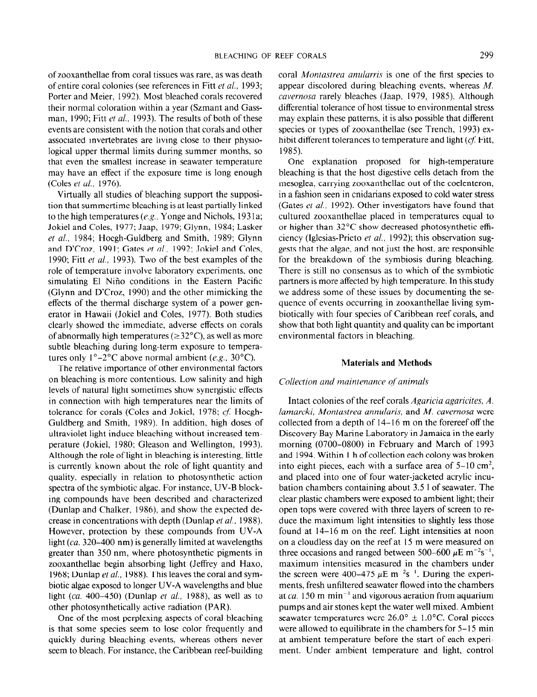of zooxanthellae from coral tissues was rare, as was death of entire coral colonies (see references in Fitt et al., 1993; Porter and Meier, 1992). Most bleached corals recovered their normal coloration within a year (Szmant and Gassman, 1990; Fitt et al., 1993). The results of both of these events are consistent with the notion that corals and other associated invertebrates are living close to their physiological upper thermal limits during summer months, so that even the smallest increase in seawater temperature may have an effect if the exposure time is long enough (Coles et al., 1976).

Virtually all studies of bleaching support the supposition that summertime bleaching is at least partially linked to the high temperatures (e.g., Yonge and Nichols, 1931a; Jokiel and Coles, 1977; Jaap, 1979; Glynn, 1984; Lasker et al., 1984; Hoegh-Guldberg and Smith, 1989; Glynn and D'Croz, 1991; Gates et al., 1992; Jokiel and Coles, 1990; Fitt et al., 1993). Two of the best examples of the role of temperature involve laboratory experiments, one simulating El Nifio conditions in the Eastern Pacific (Glynn and D'Croz, 1990) and the other mimicking the effects of the thermal discharge system of a power generator in Hawaii (Jokiel and Coles, 1977). Both studies clearly showed the immediate, adverse effects on corals of abnormally high temperatures ( $\geq$ 32°C), as well as more subtle bleaching during long-term exposure to temperatures only  $1^{\circ}-2^{\circ}$ C above normal ambient (e.g., 30 $^{\circ}$ C).

The relative importance of other environmental factors on bleaching is more contentious. Low salinity and high levels of natural light sometimes show synergistic effects in connection with high temperatures near the limits of tolerance for corals (Coles and Jokiel, 1978; cf. Hoegh-Guldberg and Smith, 1989). In addition, high doses of ultraviolet light induce bleaching without increased temperature (Jokiel, 1980; Gleason and Wellington, 1993). Although the role of light in bleaching is interesting, little is currently known about the role of light quantity and quality, especially in relation to photosynthetic action spectra of the symbiotic algae. For instance, UV-B blocking compounds have been described and characterized  $(5.1 \times 10^{10} \text{ m})$ ,  $(986)$ , and show the expected de- $($ Dunlap and Charler, 1980), and show the expected de- $\frac{1}{2}$  $\mu$ <sub>1</sub> and  $\mu$ <sub>1</sub>  $\mu$ <sub>2</sub>  $\mu$ <sub>2</sub> nm<sub></sub>) is generally limited at wavelengths at wavelengths at  $\mu$ <sub>2</sub> nm<sup>-</sup> light  $(ca. 320-400 nm)$  is generally limited at wavelengths greater than 350 nm, where photosynthetic pigments in zooxanthellae begin absorbing light (Jeffrey and Haxo, 1968; Dunlap et al., 1988). This leaves the coral and symbiotic algae exposed to longer UV-A wavelengths and blue light (ca. 400–450) (Dunlap et al., 1988), as well as to other photosynthetically active radiation (PAR).

One of the most perplexing aspects of coral bleaching is that some species seem to lose color frequently and quickly during bleaching events, whereas others never seem to bleach. For instance, the Caribbean reef-building coral Montastrea anularris is one of the first species to appear discolored during bleaching events, whereas M. cavernosa rarely bleaches (Jaap, 1979, 1985). Although differential tolerance of host tissue to environmental stress may explain these patterns, it is also possible that different species or types of zooxanthellae (see Trench, 1993) exhibit different tolerances to temperature and light  $(cf.$  Fitt, 1985).

One explanation proposed for high-temperature bleaching is that the host digestive cells detach from the mesoglea, carrying zooxanthellae out of the coelenteron, in a fashion seen in cnidarians exposed to cold water stress (Gates et al., 1992). Other investigators have found that cultured zooxanthellae placed in temperatures equal to or higher than 32°C show decreased photosynthetic efficiency (Iglesias-Prieto et al., 1992); this observation suggests that the algae, and not just the host, are responsible for the breakdown of the symbiosis during bleaching. There is still no consensus as to which of the symbiotic partners is more affected by high temperature. In this study we address some of these issues by documenting the sequence of events occurring in zooxanthellae living symbiotically with four species of Caribbean reef corals, and show that both light quantity and quality can be important environmental factors in bleaching.

## Materials and Methods

#### Collection and maintenance of animals

Intact colonies of the reef corals Agaricia agaricites, A. lamarcki, Montastrea annularis, and  $M$ . cavernosa were collected from a depth of 14- 16 m on the forereef off the Discovery Bay Marine Laboratory in Jamaica in the early morning (0700-0800) in February and March of 1993 and 1994. Within 1 h of collection each colony was broken into eight pieces, each with a surface area of  $5-10 \text{ cm}^2$ , and placed, cach want a cannot area of  $\sigma$  to che and placed into one of four water jacketed acry he filed bation chambers containing about 3.5 l of seawater. The clear plastic chambers were exposed to ambient light; their open plastic chambers were exposed to amount them, then duce the maximum lines to sell the maximum lines to sell the maximum lines. duce the maximum light intensities to slightly less those found at 14–16 m on the reef. Light intensities at noon on a cloudless day on the reef at I5 m were measured on three occasions and ranged between 500–600  $\mu$ E m<sup>-2</sup>s<sup>-1</sup>, emer occasions and ranged occurrent 500 000  $\mu$ E in the  $maximum$  intensities incastried in the enamoers under the screen were 400–475  $\mu$ E m<sup>-2</sup>s<sup>-1</sup>. During the experiments, fresh unfiltered seawater flowed into the chambers at ca. 150 m min<sup>-1</sup> and vigorous aeration from aquarium pumps and air stones kept the water well mixed. Ambient seawater temperatures were  $26.0^{\circ} \pm 1.0^{\circ}$ C. Coral pieces were allowed to equilibrate in the chambers for  $5-15$  min at ambient temperature before the start of each experiment. Under ambient temperature and light, control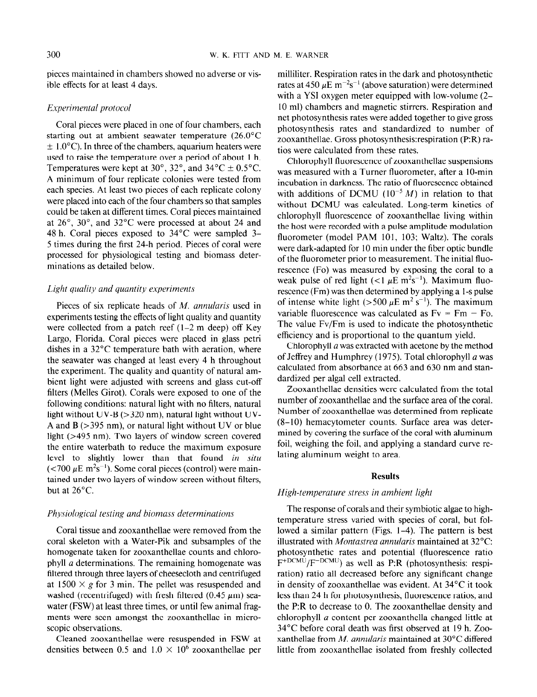pieces maintained in chambers showed no adverse or visible effects for at least 4 days.

## Experimental protocol

Coral pieces were placed in one of four chambers, each starting out at ambient seawater temperature (26.O"C  $\pm$  1.0°C). In three of the chambers, aquarium heaters were used to raise the temperature over a period of about 1 h. Temperatures were kept at 30°, 32°, and 34°C  $\pm$  0.5°C. A minimum of four replicate colonies were tested from each species. At least two pieces of each replicate colony were placed into each of the four chambers so that samples could be taken at different times. Coral pieces maintained at 26", 30", and 32°C were processed at about 24 and 48 h. Coral pieces exposed to 34°C were sampled 3- 5 times during the first 24-h period. Pieces of coral were processed for physiological testing and biomass determinations as detailed below.

# Light quality and quantity experiments

Pieces of six replicate heads of  $M$ . annularis used in experiments testing the effects of light quality and quantity were collected from a patch reef  $(1-2 \text{ m} \text{ deep})$  off Key Largo, Florida. Coral pieces were placed in glass petri dishes in a 32°C temperature bath with aeration, where the seawater was changed at least every 4 h throughout the experiment. The quality and quantity of natural ambient light were adjusted with screens and glass cut-off filters (Melles Girot). Corals were exposed to one of the following conditions: natural light with no filters, natural light without UV-B ( $>320$  nm), natural light without UV-A and  $B$  ( $>$ 395 nm), or natural light without UV or blue light (>495 nm). Two layers of window screen covered the entire waterbath to reduce the maximum exposure level to slightly lower than that found in situ ( $\lt$ 700  $\mu$ E m<sup>2</sup>s<sup>-1</sup>). Some coral pieces (control) were maintained under two layers of window screen without filters, but at 26°C.

#### Physiological testing and biomass determinations

Coral tissue and zooxanthellae were removed from the coral skeleton with a Water-Pik and subsamples of the cour skereton with a water for and subsamples of the pomogenate taken for zooxantifichae counts and emotophyll  $\alpha$  determinations. The remaining homogenate was filtered through three layers of cheesecloth and centrifuged at 1500  $\times$  g for 3 min. The pellet was resuspended and washed (recentrifuged) with fresh filtered (0.45  $\mu$ m) seawater (FSW) at least three times, or until few animal fragments were seen amongst the zooxanthellae in microscopic observations. ppic observations.

densities between 1.0 x and 1.0 x and 1.0 x and 1.0 x and 1.0 x and 1.0 x and 1.0 x and 1.0 x and 1.0 x and 1.0 x and 1.0 x and 1.0 x and 1.0 x and 1.0 x and 1.0 x and 1.0 x and 1.0 x and 1.0 x and 1.0 x and 1.0 x and 1.0

milliliter. Respiration rates in the dark and photosynthetic rates at 450  $\mu$ E m<sup>-2</sup>s<sup>-1</sup> (above saturation) were determined with a YSI oxygen meter equipped with low-volume (2- 10 ml) chambers and magnetic stirrers. Respiration and net photosynthesis rates were added together to give gross photosynthesis rates and standardized to number of zooxanthellae. Gross photosynthesis:respiration (P:R) ratios were calculated from these rates.

Chlorophyll fluorescence of zooxanthellae suspensions was measured with a Turner fluorometer, after a IO-min incubation in darkness. The ratio of fluorescence obtained with additions of DCMU ( $10^{-5}$  M) in relation to that without DCMU was calculated. Long-term kinetics of chlorophyll fluorescence of zooxanthellae living within the host were recorded with a pulse amplitude modulation fluorometer (model PAM 101, 103; Waltz). The corals were dark-adapted for 10 min under the fiber optic bundle of the fluorometer prior to measurement. The initial fluorescence (Fo) was measured by exposing the coral to a weak pulse of red light (<1  $\mu$ E m<sup>2</sup>s<sup>-1</sup>). Maximum fluorescence (Fm) was then determined by applying a l-s pulse of intense white light (>500  $\mu$ E m<sup>2</sup> s<sup>-1</sup>). The maximum variable fluorescence was calculated as  $Fv = Fm - Fo$ . The value Fv/Fm is used to indicate the photosynthetic efficiency and is proportional to the quantum yield.

Chlorophyll a was extracted with acetone by the method of Jeffrey and Humphrey (1975). Total chlorophyll a was calculated from absorbance at 663 and 630 nm and standardized per algal cell extracted.

Zooxanthellae densities were calculated from the total number of zooxanthellae and the surface area of the coral. Number of zooxanthellae was determined from replicate (8-10) hemacytometer counts. Surface area was determined by covering the surface of the coral with aluminum foil, weighing the foil, and applying a standard curve relating aluminum weight to area.

### Results

#### High-temperature stress in ambient light

The response of corals and their symbiotic algae to highthe response of corals and their symbootic argue to figure lomperature sitess variou with species of coral, but for lowed a similar pattern (Figs. 1–4). The pattern is best illustrated with *Montastrea annularis* maintained at  $32^{\circ}$ C: photosynthetic rates and potential (fluorescence ratio  $F + DCMU$ <sub>r</sub>  $F - DCMU$ ) and potential (huorescence rationally  $r = \frac{1}{r}$  ratio all decreased before any significant change ration) ratio all decreased before any significant change in density of zooxanthellae was evident. At  $34^{\circ}$ C it took less than 24 h for photosynthesis, fluorescence ratios, and the  $P:R$  to decrease to 0. The zooxanthellae density and chlorophyll  $a$  content per zooxanthella changed little at  $34^{\circ}$ C before coral death was first observed at 19 h. Zooxanthellae from  $M$ . annularis maintained at 30 $^{\circ}$ C differed little from zooxanthellae isolated from freshly collected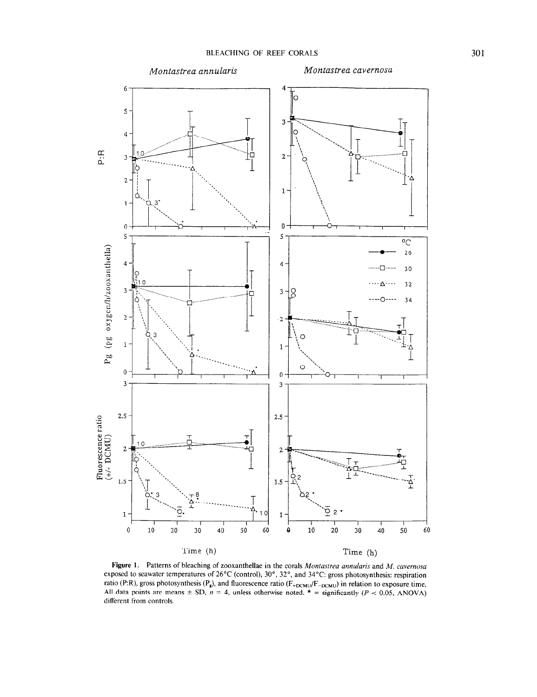

Figure 1. Patterns of bleaching of zooxanthellae in the corals Montastrea annularis and  $M$ . cavernosa exposed to seawater temperatures of 26°C (control), 30°, 32°, and 34°C: gross photosynthesis: respiration ratio (P:R), gross photosynthesis (P<sub>g</sub>), and fluorescence ratio (F<sub>+DCMU</sub>/F<sub>-DCMU</sub>) in relation to exposure time.<br>All data points are means  $\pm$  SD,  $n = 4$ , unless otherwise noted. \* = significantly (P < 0.05, ANOVA) different from controls.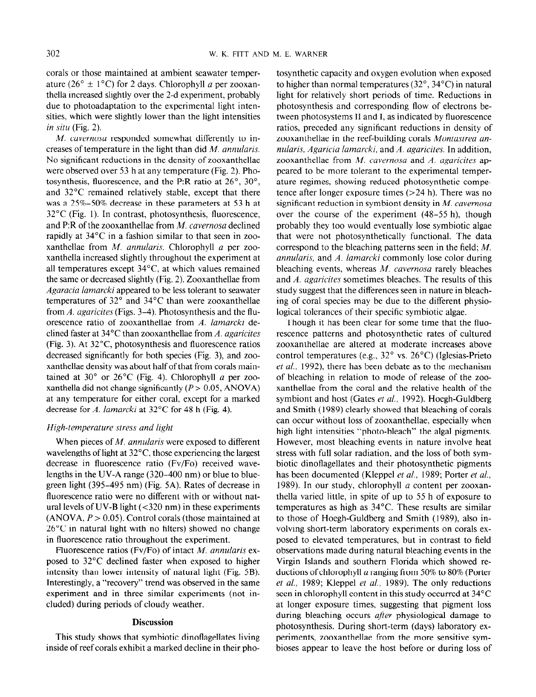corals or those maintained at ambient seawater temperature (26°  $\pm$  1°C) for 2 days. Chlorophyll *a* per zooxanthella increased slightly over the 2-d experiment, probably due to photoadaptation to the experimental light intensities, which were slightly lower than the light intensities in situ (Fig. 2).

M. cavernosa responded somewhat differently to increases of temperature in the light than did M. annularis. No significant reductions in the density of zooxanthellae were observed over 53 h at any temperature (Fig. 2). Photosynthesis, fluorescence, and the P:R ratio at  $26^\circ$ ,  $30^\circ$ , and 32°C remained relatively stable, except that there was a 25%-50% decrease in these parameters at 53 h at 32°C (Fig. 1). In contrast, photosynthesis, fluorescence, and P:R of the zooxanthellae from  $M$ . cavernosa declined rapidly at 34°C in a fashion similar to that seen in zooxanthellae from M. annularis. Chlorophyll a per zooxanthella increased slightly throughout the experiment at all temperatures except  $34^{\circ}$ C, at which values remained the same or decreased slightly (Fig. 2). Zooxanthellae from Agaracia lamarcki appeared to be less tolerant to seawater temperatures of 32" and 34°C than were zooxanthellae from A. agaricites (Figs. 3-4). Photosynthesis and the fluorescence ratio of zooxanthellae from A. lamarcki declined faster at 34°C than zooxanthellae from A. agaricites (Fig. 3). At 32°C photosynthesis and fluorescence ratios decreased significantly for both species (Fig. 3), and zooxanthellae density was about half of that from corals maintained at 30 $^{\circ}$  or 26 $^{\circ}$ C (Fig. 4). Chlorophyll a per zooxanthella did not change significantly  $(P > 0.05, ANOVA)$ at any temperature for either coral, except for a marked decrease for A. lamarcki at  $32^{\circ}$ C for 48 h (Fig. 4).

#### High-temperature stress and light

When pieces of *M. annularis* were exposed to different wavelengths of light at 32°C those experiencing the largest decrease in fluorescence ratio (Fv/Fo) received wavelengths in the UV-A range (320-400 nm) or blue to bluegreen light (395-495 nm) (Fig. 5A). Rates of decrease in fluorescence ratio were no different with or without natural levels of UV-B light  $(< 320 \text{ nm})$  in these experiments  $(ANOVA, P > 0.05)$ . Control corals (those maintained at  $\alpha$  in the  $\alpha$ <sub>i</sub>c is  $\alpha$  in the noise of  $\alpha$  in the change of  $\alpha$  is  $\alpha$  in the change of  $\alpha$  is  $\alpha$  is  $\alpha$  is  $\alpha$  is  $\alpha$  is  $\alpha$  is  $\alpha$  is  $\alpha$  is  $\alpha$  is  $\alpha$  is  $\alpha$  is  $\alpha$  is  $\alpha$  is  $\alpha$  is  $\alpha$  is  $\alpha$ L<sub>0</sub> C in hatara right with no mitris) showed the experiment. Huorescence ratio (Fighter the experiment.

 $\frac{1}{2}$  decreased to  $\frac{1}{2}$   $\frac{1}{2}$   $\frac{1}{2}$   $\frac{1}{2}$  of the higher  $\frac{1}{2}$  and  $\frac{1}{2}$   $\frac{1}{2}$ posed to 32°C declined faster when exposed to higher intensity than lower intensity of natural light (Fig. 5B). Interestingly, a "recovery" trend was observed in the same experiment and in three similar experiments (not included) during periods of cloudy weather.

## **Discussion**

 $\pm$  study shows that symbols that symbols dinoflagellates living  $\pm$ ins study shows that symbolic unionagenates in the

tosynthetic capacity and oxygen evolution when exposed to higher than normal temperatures ( $32^\circ$ ,  $34^\circ$ C) in natural light for relatively short periods of time. Reductions in photosynthesis and corresponding flow of electrons between photosystems II and I, as indicated by fluorescence ratios, preceded any significant reductions in density of zooxanthellae in the reef-building corals Montastrea annularis, Agaricia lamarcki, and  $\Lambda$ . agaricites. In addition, zooxanthellae from M. cavernosa and A. ugaricites appeared to be more tolerant to the experimental temperature regimes, showing reduced photosynthetic competence after longer exposure times  $(>24 h)$ . There was no significant reduction in symbiont density in  $M$ . cavernosa over the course of the experiment (48-55 h), though probably they too would eventually lose symbiotic algae that were not photosynthetically functional. The data correspond to the bleaching patterns seen in the field; M. annularis, and A. lamarcki commonly lose color during bleaching events, whereas  $M$ . cavernosa rarely bleaches and  $A$ . agaricites sometimes bleaches. The results of this study suggest that the differences seen in nature in bleaching of coral species may be due to the different physiological tolerances of their specific symbiotic algae.

Though it has been clear for some time that the fluorescence patterns and photosynthetic rates of cultured zooxanthellae are altered at moderate increases above control temperatures (e.g., 32" vs. 26°C) (Iglesias-Prieto  $et al., 1992$ ), there has been debate as to the mechanism of bleaching in relation to mode of release of the zooxanthellae from the coral and the relative health of the symbiont and host (Gates et al., 1992). Hoegh-Guldberg and Smith (1989) clearly showed that bleaching of corals can occur without loss of zooxanthellae, especially when high light intensities "photo-bleach" the algal pigments. However, most bleaching events in nature involve heat stress with full solar radiation, and the loss of both symbiotic dinoflagellates and their photosynthetic pigments has been documented (Kleppel et al., 1989; Porter et al., 1989). In our study, chlorophyll a content per zooxanthella varied little, in spite of up to 55 h of exposure to temperatures as high as 34°C. These results are similar to those of Hoegh-Guldberg and Smith (1989), also involving short-term laboratory experiments on corals exposed to elevated temperatures, but in contrast to field posed to citatura temperatures, out in contrast to neta vostrations made during natural oteaching events in the Virgin Islands and southern Florida which showed reductions of chlorophyll a ranging from 50% to 80% (Porter et al., 1989; Kleppel et al., 1989). The only reductions seen in chlorophyll content in this study occurred at 34°C at longer exposure times, suggesting that pigment loss during bleaching occurs *after* physiological damage to photosynthesis. During short-term (days) laboratory experiments, zooxanthellae from the more sensitive symbioses appear to leave the host before or during loss of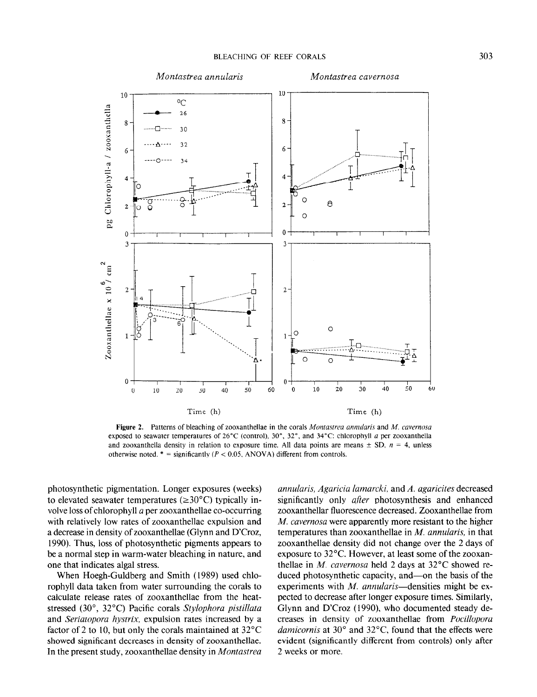10





Figure 2. Patterns of bleaching of zooxanthellae in the corals Montastrea annularis and M. cavernosa exposed to seaward the seaward temperature of 26°C (control), 30°C: check and 34°C: check and 34°C: check a per  $\alpha$ posed to seamater temperatures of  $\omega \in (\text{control})$ ,  $\omega$ ,  $\omega$ , and  $\beta \in \mathbb{C}$ , emotophym a per zooxantineit and zooxanthella density in relation to exposure time. All data points are means  $\pm$  SD,  $n = 4$ , unless otherwise noted. \* = significantly (P < 0.05, ANOVA) different from controls.

photosynthetic pigmentation. Longer exposures (weeks)  $\chi$  (weeks)  $\chi$  (weeks)  $\chi$  (weeks)  $\chi$  (weeks)  $\chi$  (weeks)  $\chi$  (weeks)  $\chi$  (weeks)  $\chi$  (weeks)  $\chi$  (weeks)  $\chi$  (weeks)  $\chi$  (weeks)  $\chi$  (weeks)  $\chi$  (weeks protosymmetre pigmemation. Longer exposures (weeks) to elevated seawater temperatures ( $\geq 30^{\circ}$ C) typically involve loss of chlorophyll  $a$  per zooxanthellae co-occurring with relatively low rates of zooxanthellae expulsion and a decrease in density of zooxanthellae (Glynn and D'Croz, 1990). Thus, loss of photosynthetic pigments appears to be a normal step in warm-water bleaching in nature, and one that indicates algal stress.

10

 $\rm ^{o}C$ 

When Hoegh-Guldberg and Smith (1989) used chlorophyll data taken from water surrounding the corals to calculate release rates of zooxanthellae from the heatstressed (30 $^{\circ}$ , 32 $^{\circ}$ C) Pacific corals Stylophora pistillata and Seriatopora hystrix, expulsion rates increased by a factor of 2 to 10, but only the corals maintained at  $32^{\circ}$ C showed significant decreases in density of zooxanthellae.<br>In the present study, zooxanthellae density in *Montastrea* 

annularis, Agaricia lamarcki, and A. agaricites decreased  $anmu <sub>3</sub>$ ,  $a<sub>5</sub>$  and  $a<sub>6</sub>$ , and  $a<sub>7</sub>$ , again are decreased significantly only *after* photosynthesis and enhanced. zooxanthellar fluorescence decreased. Zooxanthellae from M. cavernosa were apparently more resistant to the higher temperatures than zooxanthellae in  $M$ . annularis, in that zooxanthellae density did not change over the 2 days of exposure to  $32^{\circ}$ C. However, at least some of the zooxanthellae in M. cavernosa held 2 days at  $32^{\circ}$ C showed reduced photosynthetic capacity, and—on the basis of the experiments with  $M$ . annularis-densities might be expected to decrease after longer exposure times. Similarly, Glynn and D'Croz (1990), who documented steady decreases in density of zooxanthellae from Pocillopora damicornis at 30 $^{\circ}$  and 32 $^{\circ}$ C, found that the effects were evident (significantly different from controls) only after 2 weeks or more.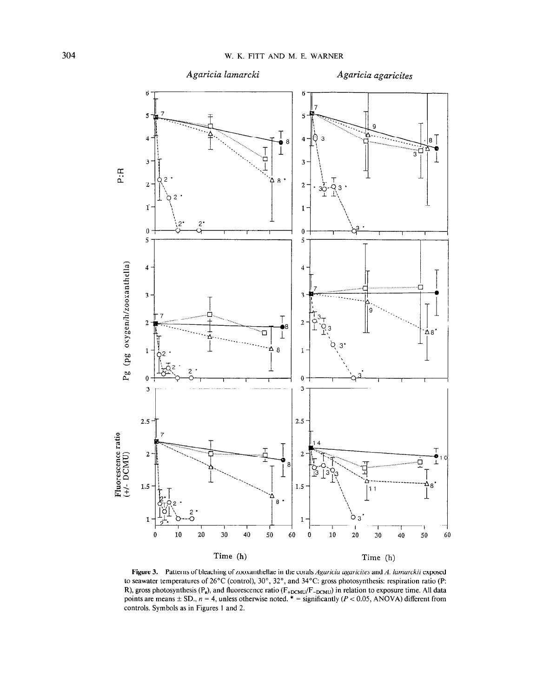

Figure 3. Patterns of bleaching of zooxanthellae in the corals Agaricia agaricites and A. lamarckii exposed to seawater temperatures of  $26^{\circ}$ C (control),  $30^{\circ}$ ,  $32^{\circ}$ , and  $34^{\circ}$ C: gross photosynthesis: respiration ratio (P: R), gross photosynthesis ( $P_g$ ), and fluorescence ratio ( $F_{+DCMU}/F_{-DCMU}$ ) in relation to exposure time. All data points are means  $\pm$  SD,  $n = 4$ , unless otherwise noted. \* = significantly ( $P < 0.05$ , ANOVA) different fr controls. Symbols as in Figures 1 and 2.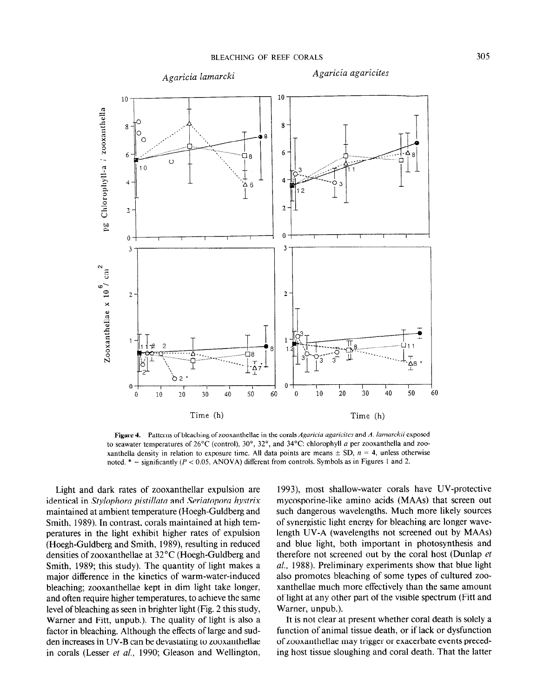

Figure 4. Patterns of bleaching of zooxanthellae in the corals Agaricia agaricites and A. lamarckii exposed to seawater temperatures of 26°C (control), 30°, 32°, and 34°C: chlorophyll a per zooxanthella and zooxanthella density in relation to exposure time. All data points are means  $\pm$  SD,  $n = 4$ , unless otherwise noted.  $* =$  significantly ( $P < 0.05$ , ANOVA) different from controls. Symbols as in Figures 1 and 2.

 $\mathbf{L}$ ight and dark rates of zooxanthelight are so  $\mathbf{L}$  $\frac{1}{2}$  in Stephan and Seriator pistillation and Seriator problem in Seriator problem in Seriator problem in Serial and Serial and Serial and Serial and Serial and Serial and Serial and Serial and Serial and Serial and identical in Stylophora pistillata and Seriatopora hystrix maintained at ambient temperature (Hoegh-Guldberg and Smith, 1989). In contrast, corals maintained at high temperatures in the light exhibit higher rates of expulsion (Hoegh-Guldberg and Smith, 1989), resulting in reduced densities of zooxanthellae at  $32^{\circ}$ C (Hoegh-Guldberg and Smith, 1989; this study). The quantity of light makes a major difference in the kinetics of warm-water-induced bleaching; zooxanthellae kept in dim light take longer, and often require higher temperatures, to achieve the same level of bleaching as seen in brighter light (Fig. 2 this study, Warner and Fitt, unpub.). The quality of light is also a factor in bleaching. Although the effects of large and sudden increases in UV-B can be devastating to zooxanthellae in corals (Lesser *et al.*, 1990; Gleason and Wellington,

 $\frac{1993}{1003}$ , most shallow-water corals have UV-protective corals have  $\frac{1}{2}$  $1993$ ), most shanow-water corals have  $0$  v-protective mycosporine-like amino acids (MAAs) that screen out such dangerous wavelengths. Much more likely sources of synergistic light energy for bleaching are longer wavelength UV-A (wavelengths not screened out by MAAs) and blue light, both important in photosynthesis and therefore not screened out by the coral host (Dunlap  $et$  $al.$ , 1988). Preliminary experiments show that blue light also promotes bleaching of some types of cultured zooxanthellae much more effectively than the same amount of light at any other part of the visible spectrum (Fitt and Warner, unpub.).  $\alpha$  is not correct whether correct whether correct whether correct whether correct  $\alpha$ 

It is not clear at present whether coral death is solely a function of animal tissue death, or if lack or dysfunction of zooxanthellae may trigger or exacerbate events preceding host tissue sloughing and coral death. That the latter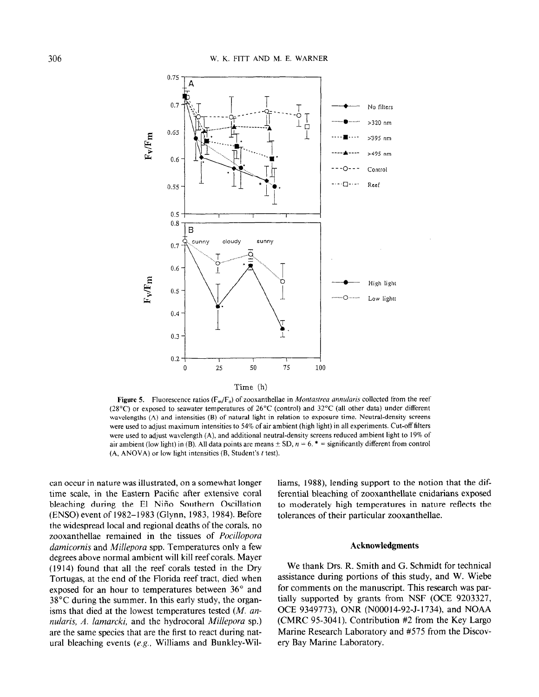

**Figure 5.** Fluorescence ratios ( $F_m/F_o$ ) of zooxanthellae in *Montastrea annularis* collected from the reef (28°C) or exposed to seawater temperatures of 26°C (control) and 32°C (all other data) under different wavelengths (A) and intensities (B) of natural light in relation to exposure time. Neutral-density screens were used to adjust maximum intensities to 54% of air ambient (high light) in all experiments. Cut-off filters were used to adjust wavelength (A), and additional neutral-density screens reduced ambient light to 19% of air ambient (low light) in (B). All data points are means  $\pm$  SD,  $n = 6$ . \* = significantly different from control  $(A, ANOVA)$  or low light intensities  $(B, Student's t test)$ .

can occur in nature was illustrated, on a somewhat longer time scale, in the Eastern Pacific after extensive coral bleaching during the El Nifio Southern Oscillation (ENSO) event of 1982- 1983 (Glynn, 1983, 1984). Before the widespread local and regional deaths of the corals, no zooxanthellae remained in the tissues of Pocillopora damicornis and Millepora spp. Temperatures only a few degrees above normal ambient will kill reef corals. Mayer (1914) found that all the reef corals tested in the Dry Tortugas, at the end of the Florida reef tract, died when exposed for an hour to temperatures between 36° and 38°C during the summer. In this early study, the organisms that died at the lowest temperatures tested  $(M.$  annularis, A. lamarcki, and the hydrocoral Millepora sp.) are the same species that are the first to react during natural bleaching events (e.g., Williams and Bunkley-Williams, 1988), lending support to the notion that the differential bleaching of zooxanthellate cnidarians exposed to moderately high temperatures in nature reflects the tolerances of their particular zooxanthellae.

### Acknowledgments

We thank Drs. R. Smith and G. Schmidt for technical assistance during portions of this study, and W. Wiebe for comments on the manuscript. This research was partially supported by grants from NSF (OCE 9203327, OCE 9349773), ONR (N00014-92-J-1734), and NOAA (CMRC 95-3041). Contribution #2 from the Key Largo Marine Research Laboratory and #575 from the Discovery Bay Marine Laboratory.